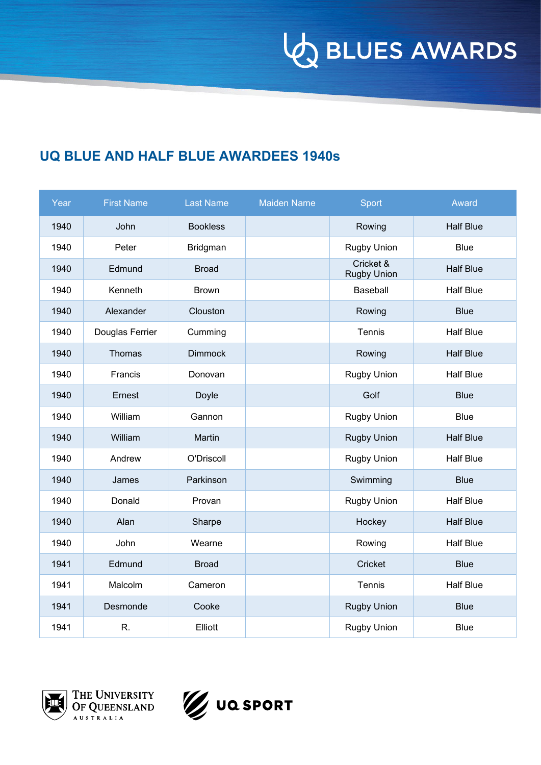**VO BLUES AWARDS** 

## **UQ BLUE AND HALF BLUE AWARDEES 1940s**

| Year | <b>First Name</b> | <b>Last Name</b> | <b>Maiden Name</b> | Sport                           | Award            |
|------|-------------------|------------------|--------------------|---------------------------------|------------------|
| 1940 | John              | <b>Bookless</b>  |                    | Rowing                          | <b>Half Blue</b> |
| 1940 | Peter             | Bridgman         |                    | <b>Rugby Union</b>              | <b>Blue</b>      |
| 1940 | Edmund            | <b>Broad</b>     |                    | Cricket &<br><b>Rugby Union</b> | <b>Half Blue</b> |
| 1940 | Kenneth           | <b>Brown</b>     |                    | Baseball                        | <b>Half Blue</b> |
| 1940 | Alexander         | Clouston         |                    | Rowing                          | <b>Blue</b>      |
| 1940 | Douglas Ferrier   | Cumming          |                    | Tennis                          | <b>Half Blue</b> |
| 1940 | Thomas            | <b>Dimmock</b>   |                    | Rowing                          | <b>Half Blue</b> |
| 1940 | Francis           | Donovan          |                    | <b>Rugby Union</b>              | Half Blue        |
| 1940 | Ernest            | Doyle            |                    | Golf                            | <b>Blue</b>      |
| 1940 | William           | Gannon           |                    | Rugby Union                     | <b>Blue</b>      |
| 1940 | William           | Martin           |                    | <b>Rugby Union</b>              | <b>Half Blue</b> |
| 1940 | Andrew            | O'Driscoll       |                    | <b>Rugby Union</b>              | <b>Half Blue</b> |
| 1940 | James             | Parkinson        |                    | Swimming                        | <b>Blue</b>      |
| 1940 | Donald            | Provan           |                    | Rugby Union                     | <b>Half Blue</b> |
| 1940 | Alan              | Sharpe           |                    | Hockey                          | <b>Half Blue</b> |
| 1940 | John              | Wearne           |                    | Rowing                          | <b>Half Blue</b> |
| 1941 | Edmund            | <b>Broad</b>     |                    | Cricket                         | <b>Blue</b>      |
| 1941 | Malcolm           | Cameron          |                    | Tennis                          | <b>Half Blue</b> |
| 1941 | Desmonde          | Cooke            |                    | <b>Rugby Union</b>              | <b>Blue</b>      |
| 1941 | R.                | Elliott          |                    | <b>Rugby Union</b>              | Blue             |



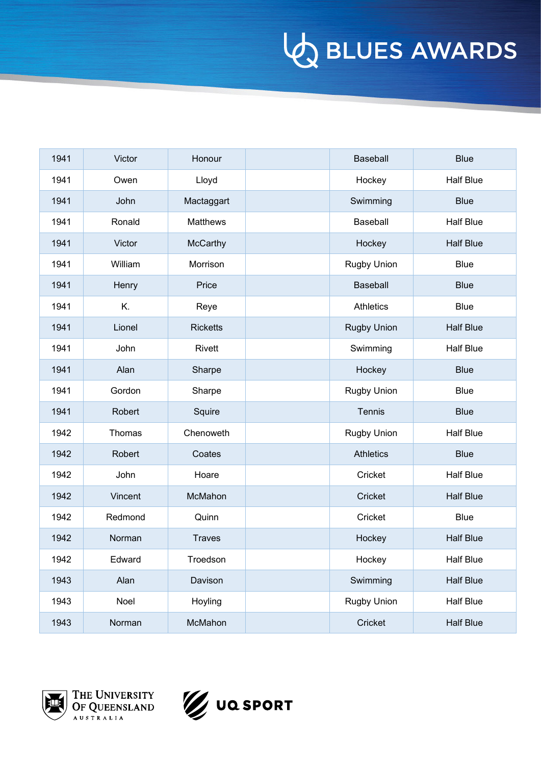| 1941 | Victor  | Honour          | <b>Baseball</b>    | <b>Blue</b>      |
|------|---------|-----------------|--------------------|------------------|
| 1941 | Owen    | Lloyd           | Hockey             | Half Blue        |
| 1941 | John    | Mactaggart      | Swimming           | <b>Blue</b>      |
| 1941 | Ronald  | <b>Matthews</b> | Baseball           | <b>Half Blue</b> |
| 1941 | Victor  | McCarthy        | Hockey             | <b>Half Blue</b> |
| 1941 | William | Morrison        | Rugby Union        | <b>Blue</b>      |
| 1941 | Henry   | Price           | Baseball           | <b>Blue</b>      |
| 1941 | K.      | Reye            | <b>Athletics</b>   | <b>Blue</b>      |
| 1941 | Lionel  | <b>Ricketts</b> | <b>Rugby Union</b> | <b>Half Blue</b> |
| 1941 | John    | Rivett          | Swimming           | <b>Half Blue</b> |
| 1941 | Alan    | Sharpe          | Hockey             | <b>Blue</b>      |
| 1941 | Gordon  | Sharpe          | <b>Rugby Union</b> | <b>Blue</b>      |
| 1941 | Robert  | Squire          | Tennis             | <b>Blue</b>      |
| 1942 | Thomas  | Chenoweth       | <b>Rugby Union</b> | <b>Half Blue</b> |
| 1942 | Robert  | Coates          | <b>Athletics</b>   | <b>Blue</b>      |
| 1942 | John    | Hoare           | Cricket            | <b>Half Blue</b> |
| 1942 | Vincent | McMahon         | Cricket            | <b>Half Blue</b> |
| 1942 | Redmond | Quinn           | Cricket            | <b>Blue</b>      |
| 1942 | Norman  | <b>Traves</b>   | Hockey             | <b>Half Blue</b> |
| 1942 | Edward  | Troedson        | Hockey             | Half Blue        |
| 1943 | Alan    | Davison         | Swimming           | <b>Half Blue</b> |
| 1943 | Noel    | Hoyling         | Rugby Union        | Half Blue        |
| 1943 | Norman  | McMahon         | Cricket            | <b>Half Blue</b> |





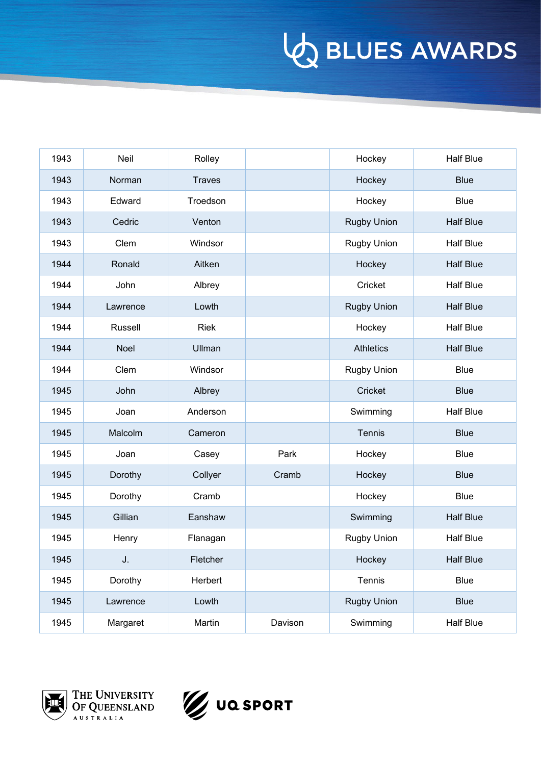| 1943 | Neil        | Rolley        |         | Hockey             | <b>Half Blue</b> |
|------|-------------|---------------|---------|--------------------|------------------|
| 1943 | Norman      | <b>Traves</b> |         | Hockey             | <b>Blue</b>      |
| 1943 | Edward      | Troedson      |         | Hockey             | <b>Blue</b>      |
| 1943 | Cedric      | Venton        |         | <b>Rugby Union</b> | <b>Half Blue</b> |
| 1943 | Clem        | Windsor       |         | <b>Rugby Union</b> | <b>Half Blue</b> |
| 1944 | Ronald      | Aitken        |         | Hockey             | <b>Half Blue</b> |
| 1944 | John        | Albrey        |         | Cricket            | <b>Half Blue</b> |
| 1944 | Lawrence    | Lowth         |         | <b>Rugby Union</b> | <b>Half Blue</b> |
| 1944 | Russell     | <b>Riek</b>   |         | Hockey             | <b>Half Blue</b> |
| 1944 | <b>Noel</b> | Ullman        |         | <b>Athletics</b>   | <b>Half Blue</b> |
| 1944 | Clem        | Windsor       |         | <b>Rugby Union</b> | <b>Blue</b>      |
| 1945 | John        | Albrey        |         | Cricket            | <b>Blue</b>      |
| 1945 | Joan        | Anderson      |         | Swimming           | <b>Half Blue</b> |
| 1945 | Malcolm     | Cameron       |         | Tennis             | <b>Blue</b>      |
| 1945 | Joan        | Casey         | Park    | Hockey             | <b>Blue</b>      |
| 1945 | Dorothy     | Collyer       | Cramb   | Hockey             | <b>Blue</b>      |
| 1945 | Dorothy     | Cramb         |         | Hockey             | <b>Blue</b>      |
| 1945 | Gillian     | Eanshaw       |         | Swimming           | <b>Half Blue</b> |
| 1945 | Henry       | Flanagan      |         | <b>Rugby Union</b> | <b>Half Blue</b> |
| 1945 | J.          | Fletcher      |         | Hockey             | <b>Half Blue</b> |
| 1945 | Dorothy     | Herbert       |         | Tennis             | <b>Blue</b>      |
| 1945 | Lawrence    | Lowth         |         | Rugby Union        | <b>Blue</b>      |
| 1945 | Margaret    | Martin        | Davison | Swimming           | <b>Half Blue</b> |



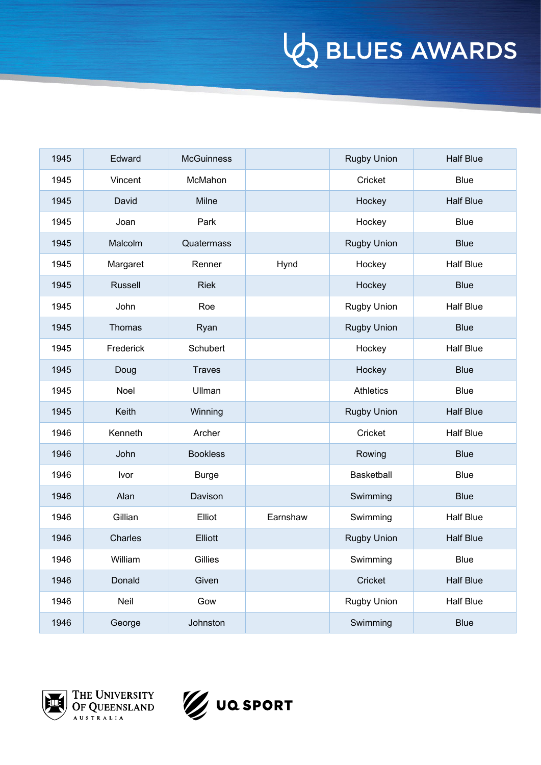| 1945 | Edward         | <b>McGuinness</b> |          | <b>Rugby Union</b> | <b>Half Blue</b> |
|------|----------------|-------------------|----------|--------------------|------------------|
| 1945 | Vincent        | McMahon           |          | Cricket            | <b>Blue</b>      |
| 1945 | David          | Milne             |          | Hockey             | <b>Half Blue</b> |
| 1945 | Joan           | Park              |          | Hockey             | <b>Blue</b>      |
| 1945 | Malcolm        | Quatermass        |          | <b>Rugby Union</b> | <b>Blue</b>      |
| 1945 | Margaret       | Renner            | Hynd     | Hockey             | <b>Half Blue</b> |
| 1945 | <b>Russell</b> | <b>Riek</b>       |          | Hockey             | <b>Blue</b>      |
| 1945 | John           | Roe               |          | Rugby Union        | <b>Half Blue</b> |
| 1945 | Thomas         | Ryan              |          | <b>Rugby Union</b> | <b>Blue</b>      |
| 1945 | Frederick      | Schubert          |          | Hockey             | <b>Half Blue</b> |
| 1945 | Doug           | <b>Traves</b>     |          | Hockey             | <b>Blue</b>      |
| 1945 | Noel           | Ullman            |          | <b>Athletics</b>   | <b>Blue</b>      |
| 1945 | Keith          | Winning           |          | <b>Rugby Union</b> | <b>Half Blue</b> |
| 1946 | Kenneth        | Archer            |          | Cricket            | <b>Half Blue</b> |
| 1946 | John           | <b>Bookless</b>   |          | Rowing             | <b>Blue</b>      |
| 1946 | Ivor           | <b>Burge</b>      |          | Basketball         | <b>Blue</b>      |
| 1946 | Alan           | Davison           |          | Swimming           | <b>Blue</b>      |
| 1946 | Gillian        | Elliot            | Earnshaw | Swimming           | <b>Half Blue</b> |
| 1946 | Charles        | Elliott           |          | <b>Rugby Union</b> | <b>Half Blue</b> |
| 1946 | William        | Gillies           |          | Swimming           | Blue             |
| 1946 | Donald         | Given             |          | Cricket            | <b>Half Blue</b> |
| 1946 | Neil           | Gow               |          | Rugby Union        | Half Blue        |
| 1946 | George         | Johnston          |          | Swimming           | <b>Blue</b>      |



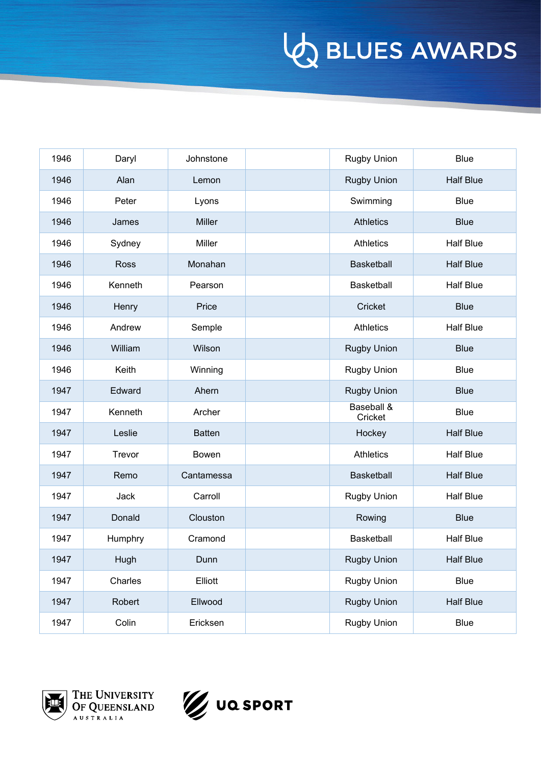| 1946 | Daryl       | Johnstone     | <b>Rugby Union</b>    | <b>Blue</b>      |
|------|-------------|---------------|-----------------------|------------------|
| 1946 | Alan        | Lemon         | <b>Rugby Union</b>    | <b>Half Blue</b> |
| 1946 | Peter       | Lyons         | Swimming              | <b>Blue</b>      |
| 1946 | James       | <b>Miller</b> | <b>Athletics</b>      | <b>Blue</b>      |
| 1946 | Sydney      | Miller        | <b>Athletics</b>      | <b>Half Blue</b> |
| 1946 | <b>Ross</b> | Monahan       | <b>Basketball</b>     | <b>Half Blue</b> |
| 1946 | Kenneth     | Pearson       | Basketball            | <b>Half Blue</b> |
| 1946 | Henry       | Price         | Cricket               | <b>Blue</b>      |
| 1946 | Andrew      | Semple        | <b>Athletics</b>      | <b>Half Blue</b> |
| 1946 | William     | Wilson        | <b>Rugby Union</b>    | <b>Blue</b>      |
| 1946 | Keith       | Winning       | <b>Rugby Union</b>    | <b>Blue</b>      |
| 1947 | Edward      | Ahern         | <b>Rugby Union</b>    | <b>Blue</b>      |
| 1947 | Kenneth     | Archer        | Baseball &<br>Cricket | <b>Blue</b>      |
| 1947 | Leslie      | <b>Batten</b> | Hockey                | <b>Half Blue</b> |
| 1947 | Trevor      | Bowen         | <b>Athletics</b>      | <b>Half Blue</b> |
| 1947 | Remo        | Cantamessa    | Basketball            | <b>Half Blue</b> |
| 1947 | Jack        | Carroll       | <b>Rugby Union</b>    | <b>Half Blue</b> |
| 1947 | Donald      | Clouston      | Rowing                | <b>Blue</b>      |
| 1947 | Humphry     | Cramond       | Basketball            | <b>Half Blue</b> |
| 1947 | Hugh        | Dunn          | <b>Rugby Union</b>    | <b>Half Blue</b> |
| 1947 | Charles     | Elliott       | Rugby Union           | Blue             |
| 1947 | Robert      | Ellwood       | <b>Rugby Union</b>    | Half Blue        |
| 1947 | Colin       | Ericksen      | Rugby Union           | <b>Blue</b>      |





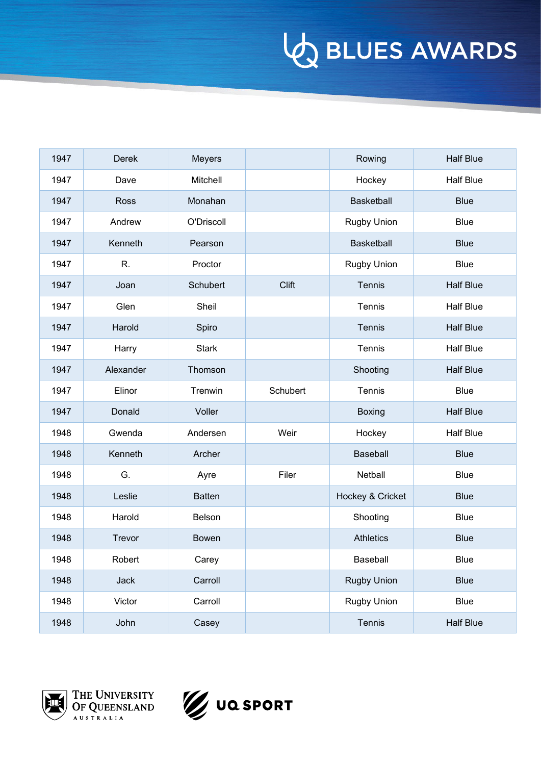| 1947 | Derek       | Meyers        |          | Rowing             | <b>Half Blue</b> |
|------|-------------|---------------|----------|--------------------|------------------|
| 1947 | Dave        | Mitchell      |          | Hockey             | <b>Half Blue</b> |
| 1947 | <b>Ross</b> | Monahan       |          | Basketball         | <b>Blue</b>      |
| 1947 | Andrew      | O'Driscoll    |          | <b>Rugby Union</b> | <b>Blue</b>      |
| 1947 | Kenneth     | Pearson       |          | Basketball         | <b>Blue</b>      |
| 1947 | R.          | Proctor       |          | Rugby Union        | <b>Blue</b>      |
| 1947 | Joan        | Schubert      | Clift    | Tennis             | <b>Half Blue</b> |
| 1947 | Glen        | Sheil         |          | Tennis             | <b>Half Blue</b> |
| 1947 | Harold      | Spiro         |          | Tennis             | <b>Half Blue</b> |
| 1947 | Harry       | <b>Stark</b>  |          | Tennis             | <b>Half Blue</b> |
| 1947 | Alexander   | Thomson       |          | Shooting           | <b>Half Blue</b> |
| 1947 | Elinor      | Trenwin       | Schubert | <b>Tennis</b>      | <b>Blue</b>      |
| 1947 | Donald      | Voller        |          | Boxing             | <b>Half Blue</b> |
| 1948 | Gwenda      | Andersen      | Weir     | Hockey             | <b>Half Blue</b> |
| 1948 | Kenneth     | Archer        |          | Baseball           | <b>Blue</b>      |
| 1948 | G.          | Ayre          | Filer    | Netball            | Blue             |
| 1948 | Leslie      | <b>Batten</b> |          | Hockey & Cricket   | <b>Blue</b>      |
| 1948 | Harold      | Belson        |          | Shooting           | <b>Blue</b>      |
| 1948 | Trevor      | Bowen         |          | <b>Athletics</b>   | <b>Blue</b>      |
| 1948 | Robert      | Carey         |          | Baseball           | Blue             |
| 1948 | Jack        | Carroll       |          | <b>Rugby Union</b> | <b>Blue</b>      |
| 1948 | Victor      | Carroll       |          | Rugby Union        | Blue             |
| 1948 | John        | Casey         |          | Tennis             | <b>Half Blue</b> |



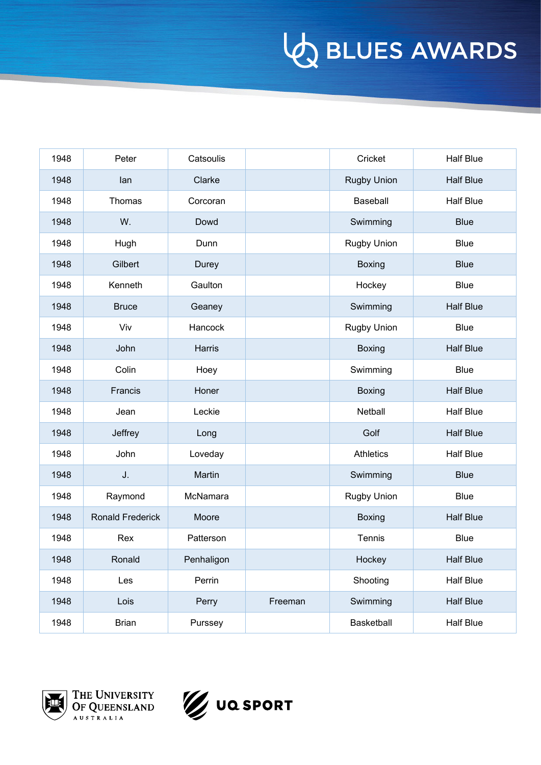| 1948 | Peter                   | Catsoulis     |         | Cricket            | <b>Half Blue</b> |
|------|-------------------------|---------------|---------|--------------------|------------------|
| 1948 | lan                     | Clarke        |         | <b>Rugby Union</b> | <b>Half Blue</b> |
| 1948 | Thomas                  | Corcoran      |         | Baseball           | <b>Half Blue</b> |
| 1948 | W.                      | Dowd          |         | Swimming           | <b>Blue</b>      |
| 1948 | Hugh                    | Dunn          |         | Rugby Union        | <b>Blue</b>      |
| 1948 | Gilbert                 | Durey         |         | <b>Boxing</b>      | <b>Blue</b>      |
| 1948 | Kenneth                 | Gaulton       |         | Hockey             | <b>Blue</b>      |
| 1948 | <b>Bruce</b>            | Geaney        |         | Swimming           | <b>Half Blue</b> |
| 1948 | Viv                     | Hancock       |         | <b>Rugby Union</b> | <b>Blue</b>      |
| 1948 | John                    | <b>Harris</b> |         | <b>Boxing</b>      | <b>Half Blue</b> |
| 1948 | Colin                   | Hoey          |         | Swimming           | <b>Blue</b>      |
| 1948 | <b>Francis</b>          | Honer         |         | <b>Boxing</b>      | <b>Half Blue</b> |
| 1948 | Jean                    | Leckie        |         | Netball            | <b>Half Blue</b> |
| 1948 | Jeffrey                 | Long          |         | Golf               | <b>Half Blue</b> |
| 1948 | John                    | Loveday       |         | <b>Athletics</b>   | <b>Half Blue</b> |
| 1948 | J.                      | Martin        |         | Swimming           | <b>Blue</b>      |
| 1948 | Raymond                 | McNamara      |         | <b>Rugby Union</b> | <b>Blue</b>      |
| 1948 | <b>Ronald Frederick</b> | Moore         |         | <b>Boxing</b>      | <b>Half Blue</b> |
| 1948 | Rex                     | Patterson     |         | Tennis             | <b>Blue</b>      |
| 1948 | Ronald                  | Penhaligon    |         | Hockey             | <b>Half Blue</b> |
| 1948 | Les                     | Perrin        |         | Shooting           | <b>Half Blue</b> |
| 1948 | Lois                    | Perry         | Freeman | Swimming           | <b>Half Blue</b> |
| 1948 | <b>Brian</b>            | Purssey       |         | Basketball         | <b>Half Blue</b> |



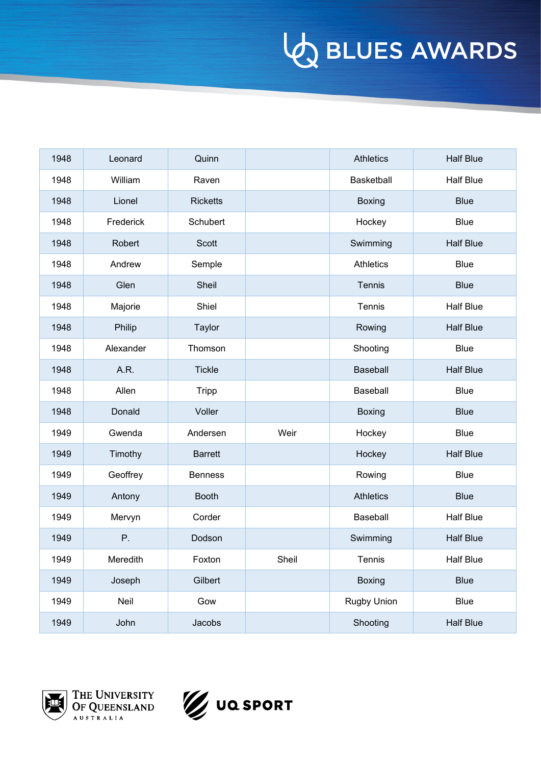| 1948 | Leonard   | Quinn           |       | <b>Athletics</b> | <b>Half Blue</b> |
|------|-----------|-----------------|-------|------------------|------------------|
| 1948 | William   | Raven           |       | Basketball       | <b>Half Blue</b> |
| 1948 | Lionel    | <b>Ricketts</b> |       | <b>Boxing</b>    | <b>Blue</b>      |
| 1948 | Frederick | Schubert        |       | Hockey           | <b>Blue</b>      |
| 1948 | Robert    | <b>Scott</b>    |       | Swimming         | <b>Half Blue</b> |
| 1948 | Andrew    | Semple          |       | <b>Athletics</b> | <b>Blue</b>      |
| 1948 | Glen      | Sheil           |       | Tennis           | <b>Blue</b>      |
| 1948 | Majorie   | Shiel           |       | Tennis           | <b>Half Blue</b> |
| 1948 | Philip    | Taylor          |       | Rowing           | <b>Half Blue</b> |
| 1948 | Alexander | Thomson         |       | Shooting         | <b>Blue</b>      |
| 1948 | A.R.      | <b>Tickle</b>   |       | Baseball         | <b>Half Blue</b> |
| 1948 | Allen     | <b>Tripp</b>    |       | Baseball         | <b>Blue</b>      |
| 1948 | Donald    | Voller          |       | <b>Boxing</b>    | <b>Blue</b>      |
| 1949 | Gwenda    | Andersen        | Weir  | Hockey           | <b>Blue</b>      |
| 1949 | Timothy   | <b>Barrett</b>  |       | Hockey           | <b>Half Blue</b> |
| 1949 | Geoffrey  | <b>Benness</b>  |       | Rowing           | <b>Blue</b>      |
| 1949 | Antony    | <b>Booth</b>    |       | <b>Athletics</b> | <b>Blue</b>      |
| 1949 | Mervyn    | Corder          |       | Baseball         | <b>Half Blue</b> |
| 1949 | Ρ.        | Dodson          |       | Swimming         | <b>Half Blue</b> |
| 1949 | Meredith  | Foxton          | Sheil | Tennis           | Half Blue        |
| 1949 | Joseph    | Gilbert         |       | Boxing           | <b>Blue</b>      |
| 1949 | Neil      | Gow             |       | Rugby Union      | <b>Blue</b>      |
| 1949 | John      | Jacobs          |       | Shooting         | <b>Half Blue</b> |